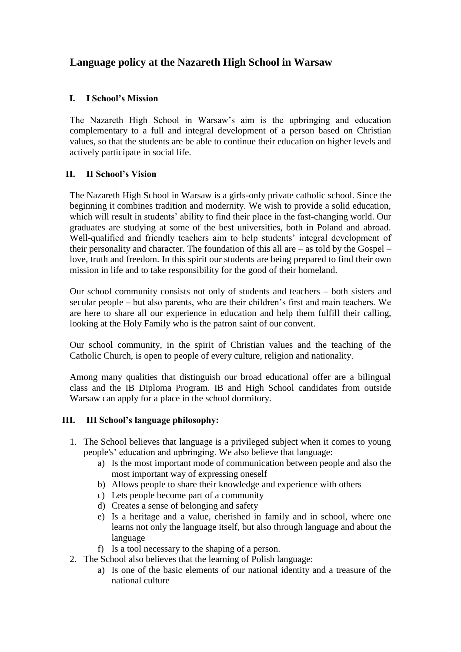# **Language policy at the Nazareth High School in Warsaw**

### **I. I School's Mission**

The Nazareth High School in Warsaw's aim is the upbringing and education complementary to a full and integral development of a person based on Christian values, so that the students are be able to continue their education on higher levels and actively participate in social life.

### **II. II School's Vision**

The Nazareth High School in Warsaw is a girls-only private catholic school. Since the beginning it combines tradition and modernity. We wish to provide a solid education, which will result in students' ability to find their place in the fast-changing world. Our graduates are studying at some of the best universities, both in Poland and abroad. Well-qualified and friendly teachers aim to help students' integral development of their personality and character. The foundation of this all are – as told by the Gospel – love, truth and freedom. In this spirit our students are being prepared to find their own mission in life and to take responsibility for the good of their homeland.

Our school community consists not only of students and teachers – both sisters and secular people – but also parents, who are their children's first and main teachers. We are here to share all our experience in education and help them fulfill their calling, looking at the Holy Family who is the patron saint of our convent.

Our school community, in the spirit of Christian values and the teaching of the Catholic Church, is open to people of every culture, religion and nationality.

Among many qualities that distinguish our broad educational offer are a bilingual class and the IB Diploma Program. IB and High School candidates from outside Warsaw can apply for a place in the school dormitory.

#### **III. III School's language philosophy:**

- 1. The School believes that language is a privileged subject when it comes to young people's' education and upbringing. We also believe that language:
	- a) Is the most important mode of communication between people and also the most important way of expressing oneself
	- b) Allows people to share their knowledge and experience with others
	- c) Lets people become part of a community
	- d) Creates a sense of belonging and safety
	- e) Is a heritage and a value, cherished in family and in school, where one learns not only the language itself, but also through language and about the language
	- f) Is a tool necessary to the shaping of a person.
- 2. The School also believes that the learning of Polish language:
	- a) Is one of the basic elements of our national identity and a treasure of the national culture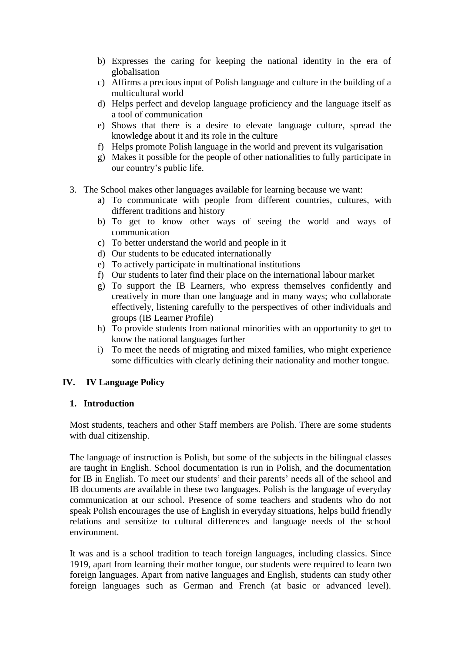- b) Expresses the caring for keeping the national identity in the era of globalisation
- c) Affirms a precious input of Polish language and culture in the building of a multicultural world
- d) Helps perfect and develop language proficiency and the language itself as a tool of communication
- e) Shows that there is a desire to elevate language culture, spread the knowledge about it and its role in the culture
- f) Helps promote Polish language in the world and prevent its vulgarisation
- g) Makes it possible for the people of other nationalities to fully participate in our country's public life.
- 3. The School makes other languages available for learning because we want:
	- a) To communicate with people from different countries, cultures, with different traditions and history
	- b) To get to know other ways of seeing the world and ways of communication
	- c) To better understand the world and people in it
	- d) Our students to be educated internationally
	- e) To actively participate in multinational institutions
	- f) Our students to later find their place on the international labour market
	- g) To support the IB Learners, who express themselves confidently and creatively in more than one language and in many ways; who collaborate effectively, listening carefully to the perspectives of other individuals and groups (IB Learner Profile)
	- h) To provide students from national minorities with an opportunity to get to know the national languages further
	- i) To meet the needs of migrating and mixed families, who might experience some difficulties with clearly defining their nationality and mother tongue.

#### **IV. IV Language Policy**

#### **1. Introduction**

Most students, teachers and other Staff members are Polish. There are some students with dual citizenship.

The language of instruction is Polish, but some of the subjects in the bilingual classes are taught in English. School documentation is run in Polish, and the documentation for IB in English. To meet our students' and their parents' needs all of the school and IB documents are available in these two languages. Polish is the language of everyday communication at our school. Presence of some teachers and students who do not speak Polish encourages the use of English in everyday situations, helps build friendly relations and sensitize to cultural differences and language needs of the school environment.

It was and is a school tradition to teach foreign languages, including classics. Since 1919, apart from learning their mother tongue, our students were required to learn two foreign languages. Apart from native languages and English, students can study other foreign languages such as German and French (at basic or advanced level).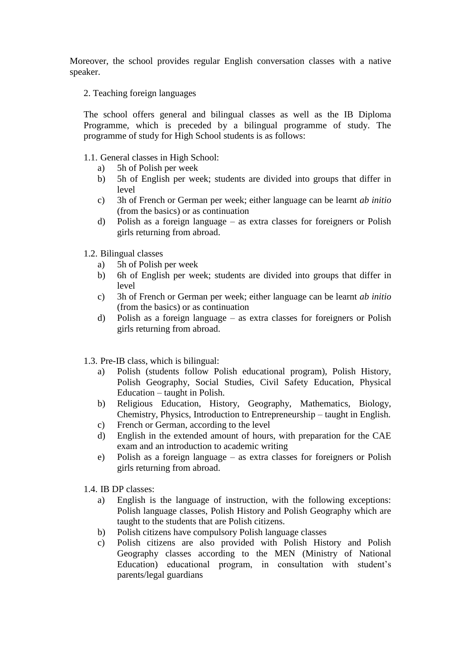Moreover, the school provides regular English conversation classes with a native speaker.

2. Teaching foreign languages

The school offers general and bilingual classes as well as the IB Diploma Programme, which is preceded by a bilingual programme of study. The programme of study for High School students is as follows:

- 1.1. General classes in High School:
	- a) 5h of Polish per week
	- b) 5h of English per week; students are divided into groups that differ in level
	- c) 3h of French or German per week; either language can be learnt *ab initio* (from the basics) or as continuation
	- d) Polish as a foreign language as extra classes for foreigners or Polish girls returning from abroad.
- 1.2. Bilingual classes
	- a) 5h of Polish per week
	- b) 6h of English per week; students are divided into groups that differ in level
	- c) 3h of French or German per week; either language can be learnt *ab initio* (from the basics) or as continuation
	- d) Polish as a foreign language as extra classes for foreigners or Polish girls returning from abroad.
- 1.3. Pre-IB class, which is bilingual:
	- a) Polish (students follow Polish educational program), Polish History, Polish Geography, Social Studies, Civil Safety Education, Physical Education – taught in Polish.
	- b) Religious Education, History, Geography, Mathematics, Biology, Chemistry, Physics, Introduction to Entrepreneurship – taught in English.
	- c) French or German, according to the level
	- d) English in the extended amount of hours, with preparation for the CAE exam and an introduction to academic writing
	- e) Polish as a foreign language as extra classes for foreigners or Polish girls returning from abroad.
- 1.4. IB DP classes:
	- a) English is the language of instruction, with the following exceptions: Polish language classes, Polish History and Polish Geography which are taught to the students that are Polish citizens.
	- b) Polish citizens have compulsory Polish language classes
	- c) Polish citizens are also provided with Polish History and Polish Geography classes according to the MEN (Ministry of National Education) educational program, in consultation with student's parents/legal guardians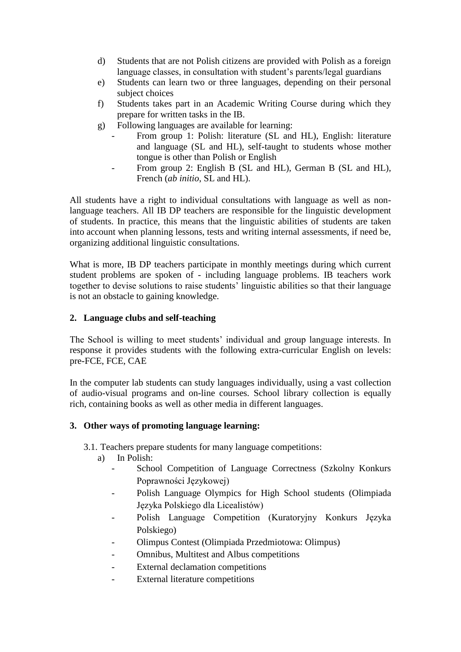- d) Students that are not Polish citizens are provided with Polish as a foreign language classes, in consultation with student's parents/legal guardians
- e) Students can learn two or three languages, depending on their personal subject choices
- f) Students takes part in an Academic Writing Course during which they prepare for written tasks in the IB.
- g) Following languages are available for learning:
	- From group 1: Polish: literature (SL and HL), English: literature and language (SL and HL), self-taught to students whose mother tongue is other than Polish or English
	- From group 2: English B (SL and HL), German B (SL and HL), French (*ab initio*, SL and HL).

All students have a right to individual consultations with language as well as nonlanguage teachers. All IB DP teachers are responsible for the linguistic development of students. In practice, this means that the linguistic abilities of students are taken into account when planning lessons, tests and writing internal assessments, if need be, organizing additional linguistic consultations.

What is more, IB DP teachers participate in monthly meetings during which current student problems are spoken of - including language problems. IB teachers work together to devise solutions to raise students' linguistic abilities so that their language is not an obstacle to gaining knowledge.

#### **2. Language clubs and self-teaching**

The School is willing to meet students' individual and group language interests. In response it provides students with the following extra-curricular English on levels: pre-FCE, FCE, CAE

In the computer lab students can study languages individually, using a vast collection of audio-visual programs and on-line courses. School library collection is equally rich, containing books as well as other media in different languages.

#### **3. Other ways of promoting language learning:**

- 3.1. Teachers prepare students for many language competitions:
	- a) In Polish:
		- School Competition of Language Correctness (Szkolny Konkurs Poprawności Językowej)
		- Polish Language Olympics for High School students (Olimpiada Języka Polskiego dla Licealistów)
		- Polish Language Competition (Kuratoryjny Konkurs Języka Polskiego)
		- Olimpus Contest (Olimpiada Przedmiotowa: Olimpus)
		- Omnibus, Multitest and Albus competitions
		- External declamation competitions
		- External literature competitions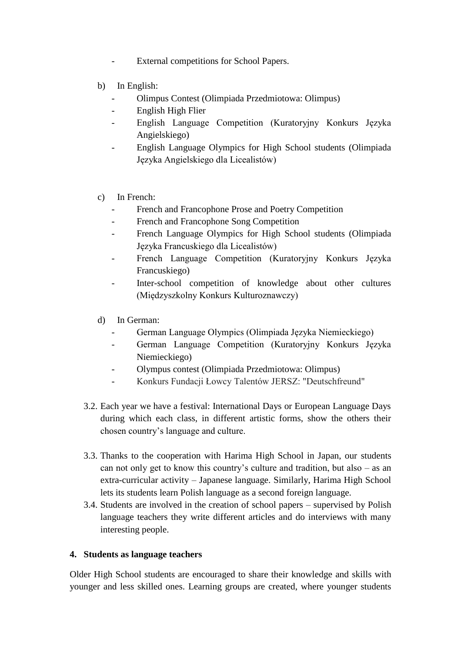- External competitions for School Papers.
- b) In English:
	- Olimpus Contest (Olimpiada Przedmiotowa: Olimpus)
	- English High Flier
	- English Language Competition (Kuratoryjny Konkurs Języka Angielskiego)
	- English Language Olympics for High School students (Olimpiada Języka Angielskiego dla Licealistów)
- c) In French:
	- French and Francophone Prose and Poetry Competition
	- French and Francophone Song Competition
	- French Language Olympics for High School students (Olimpiada Języka Francuskiego dla Licealistów)
	- French Language Competition (Kuratoryjny Konkurs Języka Francuskiego)
	- Inter-school competition of knowledge about other cultures (Międzyszkolny Konkurs Kulturoznawczy)
- d) In German:
	- German Language Olympics (Olimpiada Języka Niemieckiego)
	- German Language Competition (Kuratoryjny Konkurs Języka Niemieckiego)
	- Olympus contest (Olimpiada Przedmiotowa: Olimpus)
	- Konkurs Fundacji Łowcy Talentów JERSZ: "Deutschfreund"
- 3.2. Each year we have a festival: International Days or European Language Days during which each class, in different artistic forms, show the others their chosen country's language and culture.
- 3.3. Thanks to the cooperation with Harima High School in Japan, our students can not only get to know this country's culture and tradition, but also – as an extra-curricular activity – Japanese language. Similarly, Harima High School lets its students learn Polish language as a second foreign language.
- 3.4. Students are involved in the creation of school papers supervised by Polish language teachers they write different articles and do interviews with many interesting people.

## **4. Students as language teachers**

Older High School students are encouraged to share their knowledge and skills with younger and less skilled ones. Learning groups are created, where younger students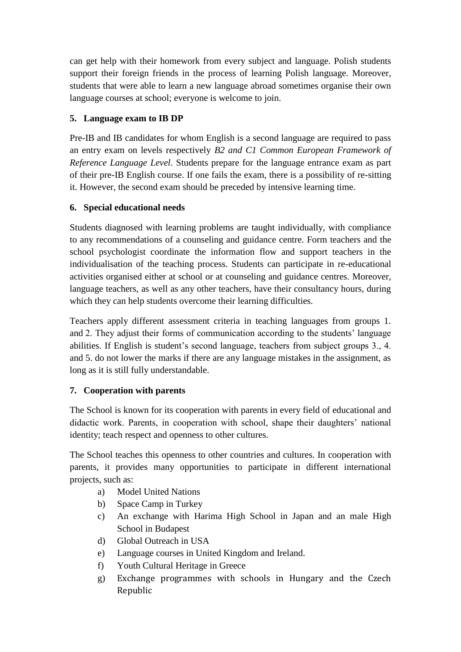can get help with their homework from every subject and language. Polish students support their foreign friends in the process of learning Polish language. Moreover, students that were able to learn a new language abroad sometimes organise their own language courses at school; everyone is welcome to join.

## **5. Language exam to IB DP**

Pre-IB and IB candidates for whom English is a second language are required to pass an entry exam on levels respectively *B2 and C1 Common European Framework of Reference Language Level*. Students prepare for the language entrance exam as part of their pre-IB English course. If one fails the exam, there is a possibility of re-sitting it. However, the second exam should be preceded by intensive learning time.

## **6. Special educational needs**

Students diagnosed with learning problems are taught individually, with compliance to any recommendations of a counseling and guidance centre. Form teachers and the school psychologist coordinate the information flow and support teachers in the individualisation of the teaching process. Students can participate in re-educational activities organised either at school or at counseling and guidance centres. Moreover, language teachers, as well as any other teachers, have their consultancy hours, during which they can help students overcome their learning difficulties.

Teachers apply different assessment criteria in teaching languages from groups 1. and 2. They adjust their forms of communication according to the students' language abilities. If English is student's second language, teachers from subject groups 3., 4. and 5. do not lower the marks if there are any language mistakes in the assignment, as long as it is still fully understandable.

# **7. Cooperation with parents**

The School is known for its cooperation with parents in every field of educational and didactic work. Parents, in cooperation with school, shape their daughters' national identity; teach respect and openness to other cultures.

The School teaches this openness to other countries and cultures. In cooperation with parents, it provides many opportunities to participate in different international projects, such as:

- a) Model United Nations
- b) Space Camp in Turkey
- c) An exchange with Harima High School in Japan and an male High School in Budapest
- d) Global Outreach in USA
- e) Language courses in United Kingdom and Ireland.
- f) Youth Cultural Heritage in Greece
- g) Exchange programmes with schools in Hungary and the Czech Republic